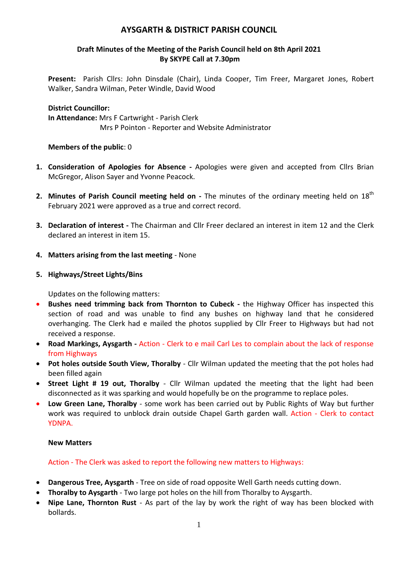# **AYSGARTH & DISTRICT PARISH COUNCIL**

## **Draft Minutes of the Meeting of the Parish Council held on 8th April 2021 By SKYPE Call at 7.30pm**

**Present:** Parish Cllrs: John Dinsdale (Chair), Linda Cooper, Tim Freer, Margaret Jones, Robert Walker, Sandra Wilman, Peter Windle, David Wood

## **District Councillor: In Attendance:** Mrs F Cartwright - Parish Clerk Mrs P Pointon - Reporter and Website Administrator

## **Members of the public**: 0

- **1. Consideration of Apologies for Absence -** Apologies were given and accepted from Cllrs Brian McGregor, Alison Sayer and Yvonne Peacock.
- 2. Minutes of Parish Council meeting held on The minutes of the ordinary meeting held on 18<sup>th</sup> February 2021 were approved as a true and correct record.
- **3. Declaration of interest -** The Chairman and Cllr Freer declared an interest in item 12 and the Clerk declared an interest in item 15.
- **4. Matters arising from the last meeting** None
- **5. Highways/Street Lights/Bins**

Updates on the following matters:

- **Bushes need trimming back from Thornton to Cubeck -** the Highway Officer has inspected this section of road and was unable to find any bushes on highway land that he considered overhanging. The Clerk had e mailed the photos supplied by Cllr Freer to Highways but had not received a response.
- **Road Markings, Aysgarth -** Action Clerk to e mail Carl Les to complain about the lack of response from Highways
- **Pot holes outside South View, Thoralby** Cllr Wilman updated the meeting that the pot holes had been filled again
- **Street Light # 19 out, Thoralby** Cllr Wilman updated the meeting that the light had been disconnected as it was sparking and would hopefully be on the programme to replace poles.
- **Low Green Lane, Thoralby** some work has been carried out by Public Rights of Way but further work was required to unblock drain outside Chapel Garth garden wall. Action - Clerk to contact YDNPA.

#### **New Matters**

Action - The Clerk was asked to report the following new matters to Highways:

- **Dangerous Tree, Aysgarth** Tree on side of road opposite Well Garth needs cutting down.
- **Thoralby to Aysgarth** Two large pot holes on the hill from Thoralby to Aysgarth.
- **Nipe Lane, Thornton Rust** As part of the lay by work the right of way has been blocked with bollards.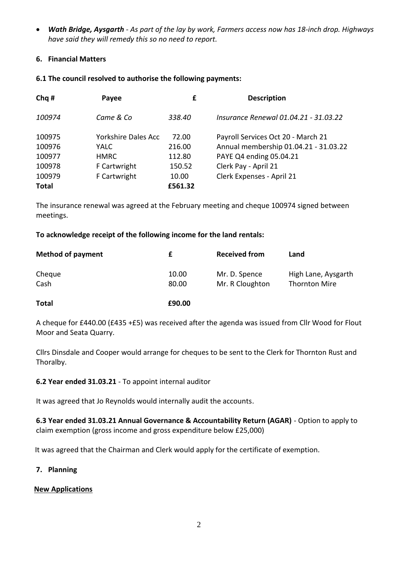*Wath Bridge, Aysgarth - As part of the lay by work, Farmers access now has 18-inch drop. Highways have said they will remedy this so no need to report.*

## **6. Financial Matters**

## **6.1 The council resolved to authorise the following payments:**

| Chq#         | Payee                      | £       | <b>Description</b>                    |
|--------------|----------------------------|---------|---------------------------------------|
| 100974       | Came & Co                  | 338.40  | Insurance Renewal 01.04.21 - 31.03.22 |
| 100975       | <b>Yorkshire Dales Acc</b> | 72.00   | Payroll Services Oct 20 - March 21    |
| 100976       | YALC                       | 216.00  | Annual membership 01.04.21 - 31.03.22 |
| 100977       | <b>HMRC</b>                | 112.80  | PAYE Q4 ending 05.04.21               |
| 100978       | F Cartwright               | 150.52  | Clerk Pay - April 21                  |
| 100979       | F Cartwright               | 10.00   | Clerk Expenses - April 21             |
| <b>Total</b> |                            | £561.32 |                                       |
|              |                            |         |                                       |

The insurance renewal was agreed at the February meeting and cheque 100974 signed between meetings.

## **To acknowledge receipt of the following income for the land rentals:**

| <b>Method of payment</b> |       | <b>Received from</b> | Land                 |
|--------------------------|-------|----------------------|----------------------|
| Cheque                   | 10.00 | Mr. D. Spence        | High Lane, Aysgarth  |
| Cash                     | 80.00 | Mr. R Cloughton      | <b>Thornton Mire</b> |

**Total £90.00**

A cheque for £440.00 (£435 +£5) was received after the agenda was issued from Cllr Wood for Flout Moor and Seata Quarry.

Cllrs Dinsdale and Cooper would arrange for cheques to be sent to the Clerk for Thornton Rust and Thoralby.

**6.2 Year ended 31.03.21** - To appoint internal auditor

It was agreed that Jo Reynolds would internally audit the accounts.

**6.3 Year ended 31.03.21 Annual Governance & Accountability Return (AGAR)** - Option to apply to claim exemption (gross income and gross expenditure below £25,000)

It was agreed that the Chairman and Clerk would apply for the certificate of exemption.

## **7. Planning**

## **New Applications**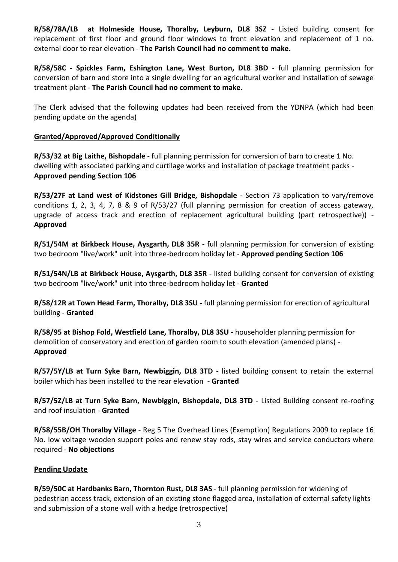**R/58/78A/LB at Holmeside House, Thoralby, Leyburn, DL8 3SZ** - Listed building consent for replacement of first floor and ground floor windows to front elevation and replacement of 1 no. external door to rear elevation - **The Parish Council had no comment to make.**

**R/58/58C - Spickles Farm, Eshington Lane, West Burton, DL8 3BD** - full planning permission for conversion of barn and store into a single dwelling for an agricultural worker and installation of sewage treatment plant - **The Parish Council had no comment to make.**

The Clerk advised that the following updates had been received from the YDNPA (which had been pending update on the agenda)

## **Granted/Approved/Approved Conditionally**

**R/53/32 at Big Laithe, Bishopdale** - full planning permission for conversion of barn to create 1 No. dwelling with associated parking and curtilage works and installation of package treatment packs - **Approved pending Section 106**

**R/53/27F at Land west of Kidstones Gill Bridge, Bishopdale** - Section 73 application to vary/remove conditions 1, 2, 3, 4, 7, 8 & 9 of R/53/27 (full planning permission for creation of access gateway, upgrade of access track and erection of replacement agricultural building (part retrospective)) - **Approved**

**R/51/54M at Birkbeck House, Aysgarth, DL8 35R** - full planning permission for conversion of existing two bedroom "live/work" unit into three-bedroom holiday let - **Approved pending Section 106**

**R/51/54N/LB at Birkbeck House, Aysgarth, DL8 35R** - listed building consent for conversion of existing two bedroom "live/work" unit into three-bedroom holiday let - **Granted**

**R/58/12R at Town Head Farm, Thoralby, DL8 3SU -** full planning permission for erection of agricultural building - **Granted**

**R/58/95 at Bishop Fold, Westfield Lane, Thoralby, DL8 3SU** - householder planning permission for demolition of conservatory and erection of garden room to south elevation (amended plans) - **Approved**

**R/57/5Y/LB at Turn Syke Barn, Newbiggin, DL8 3TD** - listed building consent to retain the external boiler which has been installed to the rear elevation - **Granted**

**R/57/5Z/LB at Turn Syke Barn, Newbiggin, Bishopdale, DL8 3TD** - Listed Building consent re-roofing and roof insulation - **Granted**

**R/58/55B/OH Thoralby Village** - Reg 5 The Overhead Lines (Exemption) Regulations 2009 to replace 16 No. low voltage wooden support poles and renew stay rods, stay wires and service conductors where required - **No objections**

## **Pending Update**

**R/59/50C at Hardbanks Barn, Thornton Rust, DL8 3AS** - full planning permission for widening of pedestrian access track, extension of an existing stone flagged area, installation of external safety lights and submission of a stone wall with a hedge (retrospective)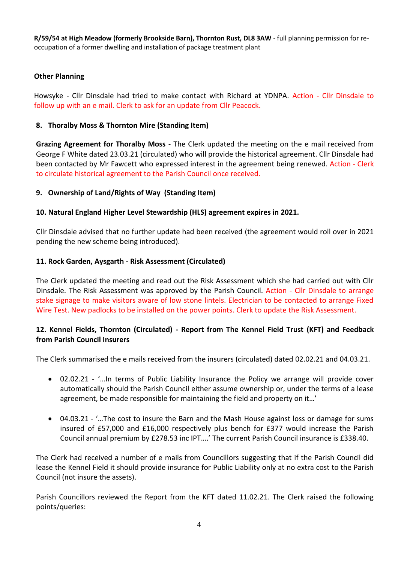**R/59/54 at High Meadow (formerly Brookside Barn), Thornton Rust, DL8 3AW** - full planning permission for reoccupation of a former dwelling and installation of package treatment plant

## **Other Planning**

Howsyke - Cllr Dinsdale had tried to make contact with Richard at YDNPA. Action - Cllr Dinsdale to follow up with an e mail. Clerk to ask for an update from Cllr Peacock.

## **8. Thoralby Moss & Thornton Mire (Standing Item)**

**Grazing Agreement for Thoralby Moss** - The Clerk updated the meeting on the e mail received from George F White dated 23.03.21 (circulated) who will provide the historical agreement. Cllr Dinsdale had been contacted by Mr Fawcett who expressed interest in the agreement being renewed. Action - Clerk to circulate historical agreement to the Parish Council once received.

## **9. Ownership of Land/Rights of Way (Standing Item)**

## **10. Natural England Higher Level Stewardship (HLS) agreement expires in 2021.**

Cllr Dinsdale advised that no further update had been received (the agreement would roll over in 2021 pending the new scheme being introduced).

## **11. Rock Garden, Aysgarth - Risk Assessment (Circulated)**

The Clerk updated the meeting and read out the Risk Assessment which she had carried out with Cllr Dinsdale. The Risk Assessment was approved by the Parish Council. Action - Cllr Dinsdale to arrange stake signage to make visitors aware of low stone lintels. Electrician to be contacted to arrange Fixed Wire Test. New padlocks to be installed on the power points. Clerk to update the Risk Assessment.

## **12. Kennel Fields, Thornton (Circulated) - Report from The Kennel Field Trust (KFT) and Feedback from Parish Council Insurers**

The Clerk summarised the e mails received from the insurers (circulated) dated 02.02.21 and 04.03.21.

- 02.02.21 '…In terms of Public Liability Insurance the Policy we arrange will provide cover automatically should the Parish Council either assume ownership or, under the terms of a lease agreement, be made responsible for maintaining the field and property on it…'
- 04.03.21 '…The cost to insure the Barn and the Mash House against loss or damage for sums insured of £57,000 and £16,000 respectively plus bench for £377 would increase the Parish Council annual premium by £278.53 inc IPT….' The current Parish Council insurance is £338.40.

The Clerk had received a number of e mails from Councillors suggesting that if the Parish Council did lease the Kennel Field it should provide insurance for Public Liability only at no extra cost to the Parish Council (not insure the assets).

Parish Councillors reviewed the Report from the KFT dated 11.02.21. The Clerk raised the following points/queries: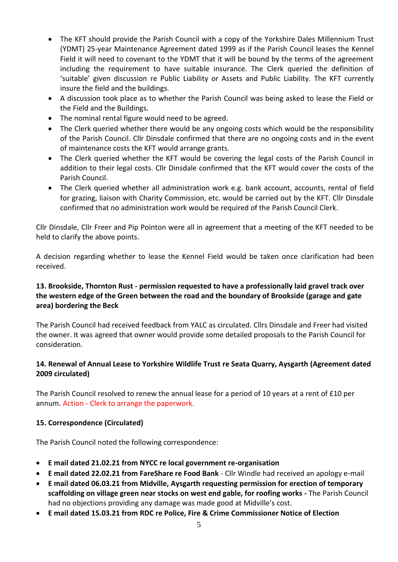- The KFT should provide the Parish Council with a copy of the Yorkshire Dales Millennium Trust (YDMT) 25-year Maintenance Agreement dated 1999 as if the Parish Council leases the Kennel Field it will need to covenant to the YDMT that it will be bound by the terms of the agreement including the requirement to have suitable insurance. The Clerk queried the definition of 'suitable' given discussion re Public Liability or Assets and Public Liability. The KFT currently insure the field and the buildings.
- A discussion took place as to whether the Parish Council was being asked to lease the Field or the Field and the Buildings.
- The nominal rental figure would need to be agreed.
- The Clerk queried whether there would be any ongoing costs which would be the responsibility of the Parish Council. Cllr Dinsdale confirmed that there are no ongoing costs and in the event of maintenance costs the KFT would arrange grants.
- The Clerk queried whether the KFT would be covering the legal costs of the Parish Council in addition to their legal costs. Cllr Dinsdale confirmed that the KFT would cover the costs of the Parish Council.
- The Clerk queried whether all administration work e.g. bank account, accounts, rental of field for grazing, liaison with Charity Commission, etc. would be carried out by the KFT. Cllr Dinsdale confirmed that no administration work would be required of the Parish Council Clerk.

Cllr Dinsdale, Cllr Freer and Pip Pointon were all in agreement that a meeting of the KFT needed to be held to clarify the above points.

A decision regarding whether to lease the Kennel Field would be taken once clarification had been received.

# **13. Brookside, Thornton Rust - permission requested to have a professionally laid gravel track over the western edge of the Green between the road and the boundary of Brookside (garage and gate area) bordering the Beck**

The Parish Council had received feedback from YALC as circulated. Cllrs Dinsdale and Freer had visited the owner. It was agreed that owner would provide some detailed proposals to the Parish Council for consideration.

## **14. Renewal of Annual Lease to Yorkshire Wildlife Trust re Seata Quarry, Aysgarth (Agreement dated 2009 circulated)**

The Parish Council resolved to renew the annual lease for a period of 10 years at a rent of £10 per annum. Action - Clerk to arrange the paperwork.

## **15. Correspondence (Circulated)**

The Parish Council noted the following correspondence:

- **E mail dated 21.02.21 from NYCC re local government re-organisation**
- **E mail dated 22.02.21 from FareShare re Food Bank** Cllr Windle had received an apology e-mail
- **E mail dated 06.03.21 from Midville, Aysgarth requesting permission for erection of temporary scaffolding on village green near stocks on west end gable, for roofing works -** The Parish Council had no objections providing any damage was made good at Midville's cost.
- **E mail dated 15.03.21 from RDC re Police, Fire & Crime Commissioner Notice of Election**